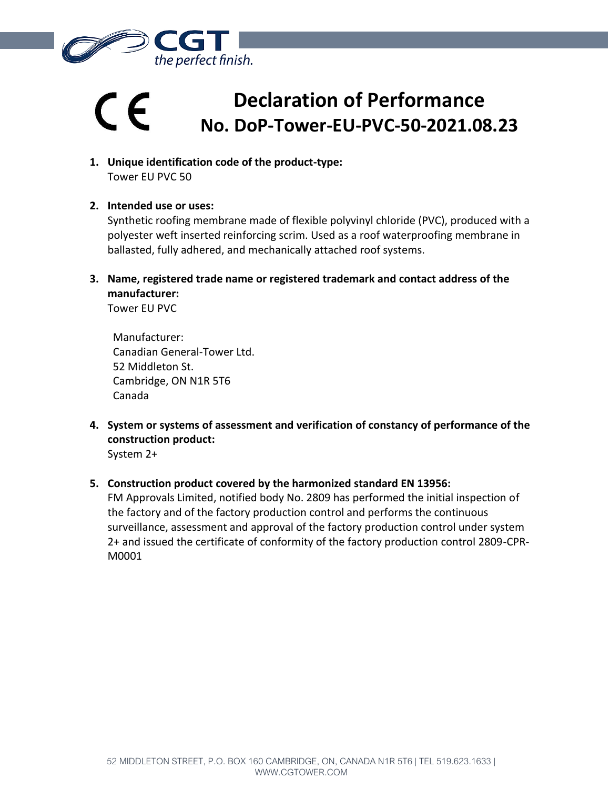

## **Declaration of Performance**  $\epsilon$ **No. DoP-Tower-EU-PVC-50-2021.08.23**

- **1. Unique identification code of the product-type:** Tower EU PVC 50
- **2. Intended use or uses:**

Synthetic roofing membrane made of flexible polyvinyl chloride (PVC), produced with a polyester weft inserted reinforcing scrim. Used as a roof waterproofing membrane in ballasted, fully adhered, and mechanically attached roof systems.

**3. Name, registered trade name or registered trademark and contact address of the manufacturer:**

Tower EU PVC

Manufacturer: Canadian General-Tower Ltd. 52 Middleton St. Cambridge, ON N1R 5T6 Canada

- **4. System or systems of assessment and verification of constancy of performance of the construction product:** System 2+
- **5. Construction product covered by the harmonized standard EN 13956:**

FM Approvals Limited, notified body No. 2809 has performed the initial inspection of the factory and of the factory production control and performs the continuous surveillance, assessment and approval of the factory production control under system 2+ and issued the certificate of conformity of the factory production control 2809-CPR-M0001